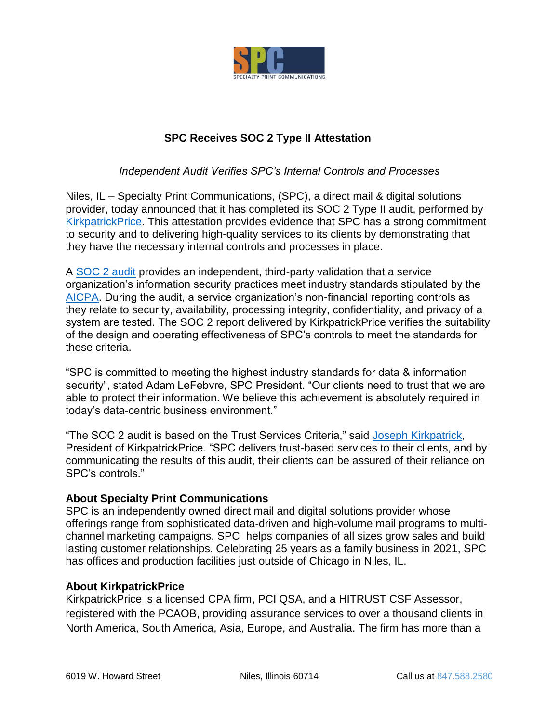

## **SPC Receives SOC 2 Type II Attestation**

## *Independent Audit Verifies SPC's Internal Controls and Processes*

Niles, IL – Specialty Print Communications, (SPC), a direct mail & digital solutions provider, today announced that it has completed its SOC 2 Type II audit, performed by [KirkpatrickPrice.](https://kirkpatrickprice.com/) This attestation provides evidence that SPC has a strong commitment to security and to delivering high-quality services to its clients by demonstrating that they have the necessary internal controls and processes in place.

A [SOC 2 audit](https://kirkpatrickprice.com/audit/soc-2/) provides an independent, third-party validation that a service organization's information security practices meet industry standards stipulated by the [AICPA.](https://www.aicpa.org/interestareas/frc/assuranceadvisoryservices/aicpasoc2report.html) During the audit, a service organization's non-financial reporting controls as they relate to security, availability, processing integrity, confidentiality, and privacy of a system are tested. The SOC 2 report delivered by KirkpatrickPrice verifies the suitability of the design and operating effectiveness of SPC's controls to meet the standards for these criteria.

"SPC is committed to meeting the highest industry standards for data & information security", stated Adam LeFebvre, SPC President. "Our clients need to trust that we are able to protect their information. We believe this achievement is absolutely required in today's data-centric business environment."

"The SOC 2 audit is based on the Trust Services Criteria," said [Joseph Kirkpatrick,](https://www.linkedin.com/in/joseph-kirkpatrick/) President of KirkpatrickPrice. "SPC delivers trust-based services to their clients, and by communicating the results of this audit, their clients can be assured of their reliance on SPC's controls."

## **About Specialty Print Communications**

SPC is an independently owned direct mail and digital solutions provider whose offerings range from sophisticated data-driven and high-volume mail programs to multichannel marketing campaigns. SPC helps companies of all sizes grow sales and build lasting customer relationships. Celebrating 25 years as a family business in 2021, SPC has offices and production facilities just outside of Chicago in Niles, IL.

## **About KirkpatrickPrice**

KirkpatrickPrice is a licensed CPA firm, PCI QSA, and a HITRUST CSF Assessor, registered with the PCAOB, providing assurance services to over a thousand clients in North America, South America, Asia, Europe, and Australia. The firm has more than a